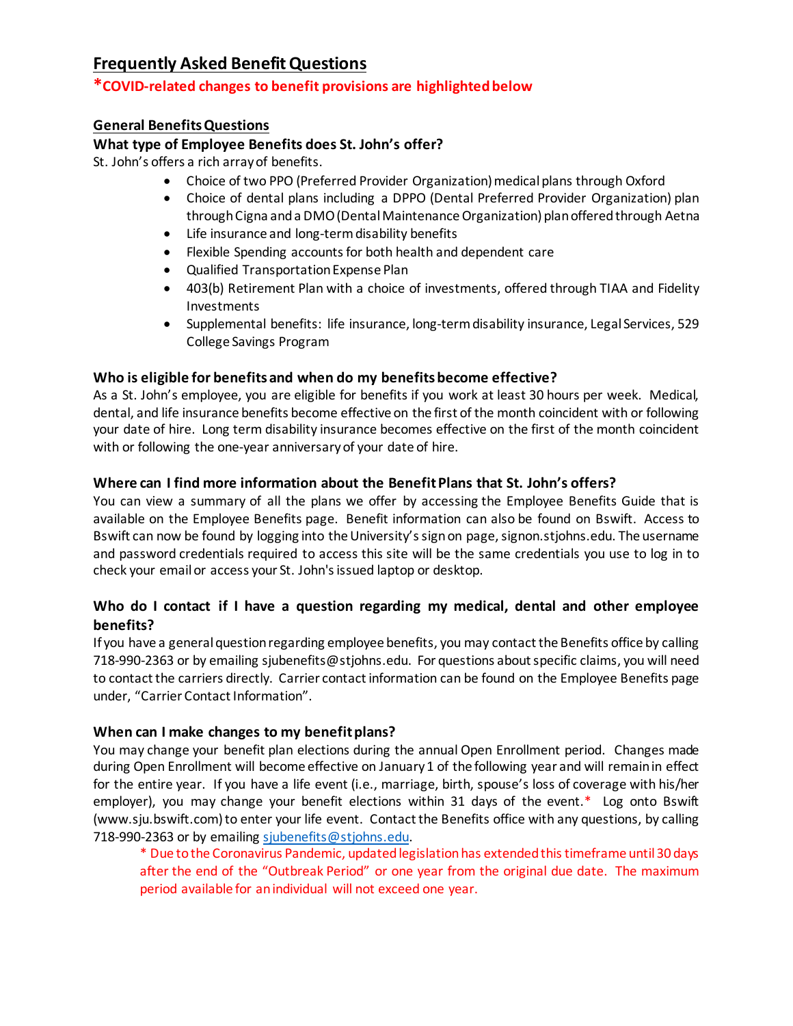## **Frequently Asked Benefit Questions**

### **\*COVID-related changes to benefit provisions are highlightedbelow**

### **General BenefitsQuestions**

### **What type of Employee Benefits does St. John's offer?**

St. John's offers a rich array of benefits.

- Choice of two PPO (Preferred Provider Organization) medical plans through Oxford
- Choice of dental plans including a DPPO (Dental Preferred Provider Organization) plan through Cigna and a DMO (Dental Maintenance Organization) plan offered through Aetna
- Life insurance and long-term disability benefits
- Flexible Spending accounts for both health and dependent care
- Qualified Transportation Expense Plan
- 403(b) Retirement Plan with a choice of investments, offered through TIAA and Fidelity Investments
- Supplemental benefits: life insurance, long-term disability insurance, Legal Services, 529 College Savings Program

### **Who is eligible for benefits and when do my benefits become effective?**

As a St. John's employee, you are eligible for benefits if you work at least 30 hours per week. Medical, dental, and life insurance benefits become effective on the first of the month coincident with or following your date of hire. Long term disability insurance becomes effective on the first of the month coincident with or following the one-year anniversary of your date of hire.

### **Where can I find more information about the Benefit Plans that St. John's offers?**

You can view a summary of all the plans we offer by accessing the Employee Benefits Guide that is available on the Employee Benefits page. Benefit information can also be found on Bswift. Access to Bswift can now be found by logging into the University'ssign on page, signon.stjohns.edu. The username and password credentials required to access this site will be the same credentials you use to log in to check your email or access your St. John's issued laptop or desktop.

### **Who do I contact if I have a question regarding my medical, dental and other employee benefits?**

If you have a general question regarding employee benefits, you may contact the Benefits office by calling 718-990-2363 or by emailing sjubenefits@stjohns.edu. For questions about specific claims, you will need to contact the carriers directly. Carrier contact information can be found on the Employee Benefits page under, "Carrier Contact Information".

### **When can I make changes to my benefit plans?**

You may change your benefit plan elections during the annual Open Enrollment period. Changes made during Open Enrollment will become effective on January 1 of the following year and will remain in effect for the entire year. If you have a life event (i.e., marriage, birth, spouse's loss of coverage with his/her employer), you may change your benefit elections within 31 days of the event.\* Log onto Bswift (www.sju.bswift.com) to enter your life event. Contact the Benefits office with any questions, by calling 718-990-2363 or by emailing [sjubenefits@stjohns.edu](mailto:sjubenefits@stjohns.edu).

\* Due to the Coronavirus Pandemic, updated legislation has extended this timeframe until 30 days after the end of the "Outbreak Period" or one year from the original due date. The maximum period available for an individual will not exceed one year.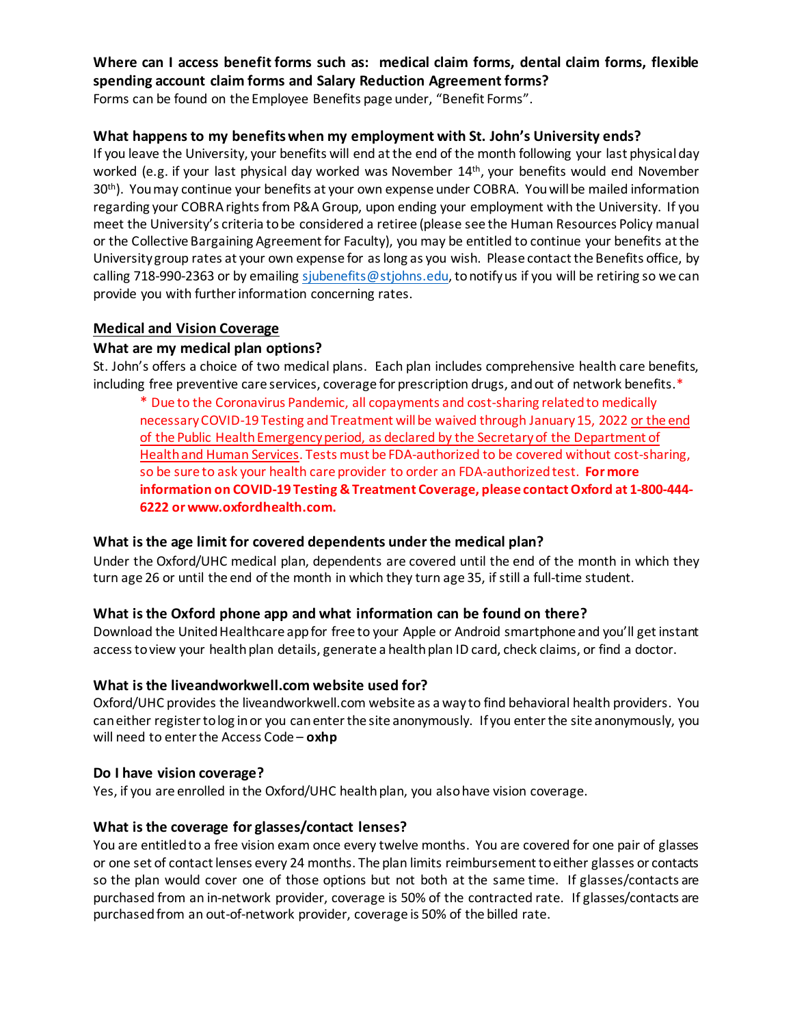# **Where can I access benefit forms such as: medical claim forms, dental claim forms, flexible spending account claim forms and Salary Reduction Agreement forms?**

Forms can be found on the Employee Benefits page under, "Benefit Forms".

### **What happens to my benefits when my employment with St. John's University ends?**

If you leave the University, your benefits will end at the end of the month following your last physical day worked (e.g. if your last physical day worked was November 14<sup>th</sup>, your benefits would end November 30<sup>th</sup>). You may continue your benefits at your own expense under COBRA. You will be mailed information regarding your COBRA rights from P&A Group, upon ending your employment with the University. If you meet the University's criteria to be considered a retiree (please see the Human Resources Policy manual or the Collective Bargaining Agreement for Faculty), you may be entitled to continue your benefits at the University group rates at your own expense for as long as you wish. Please contact the Benefits office, by calling 718-990-2363 or by emailing [sjubenefits@stjohns.edu,](mailto:sjubenefits@stjohns.edu) to notify us if you will be retiring so we can provide you with further information concerning rates.

### **Medical and Vision Coverage**

### **What are my medical plan options?**

St. John's offers a choice of two medical plans. Each plan includes comprehensive health care benefits, including free preventive care services, coverage for prescription drugs, and out of network benefits.\*

\* Due to the Coronavirus Pandemic, all copayments and cost-sharing related to medically necessary COVID-19 Testing and Treatment will be waived through January 15, 2022 or the end of the Public Health Emergency period, as declared by the Secretary of the Department of Health and Human Services. Tests must be FDA-authorized to be covered without cost-sharing, so be sure to ask your health care provider to order an FDA-authorized test. **For more information on COVID-19 Testing & Treatment Coverage, please contact Oxford at 1-800-444- 6222 or www.oxfordhealth.com.**

### **What is the age limit for covered dependents under the medical plan?**

Under the Oxford/UHC medical plan, dependents are covered until the end of the month in which they turn age 26 or until the end of the month in which they turn age 35, if still a full-time student.

### **What is the Oxford phone app and what information can be found on there?**

Download the United Healthcare app for free to your Apple or Android smartphone and you'll get instant access to view your health plan details, generate a health plan ID card, check claims, or find a doctor.

### **What is the liveandworkwell.com website used for?**

Oxford/UHC provides the liveandworkwell.com website as a way to find behavioral health providers. You can either register to log in or you can enter the site anonymously. If you enter the site anonymously, you will need to enter the Access Code – **oxhp**

#### **Do I have vision coverage?**

Yes, if you are enrolled in the Oxford/UHC health plan, you also have vision coverage.

### **What is the coverage for glasses/contact lenses?**

You are entitled to a free vision exam once every twelve months. You are covered for one pair of glasses or one set of contact lenses every 24 months. The plan limits reimbursement to either glasses or contacts so the plan would cover one of those options but not both at the same time. If glasses/contacts are purchased from an in-network provider, coverage is 50% of the contracted rate. If glasses/contacts are purchased from an out-of-network provider, coverage is 50% of the billed rate.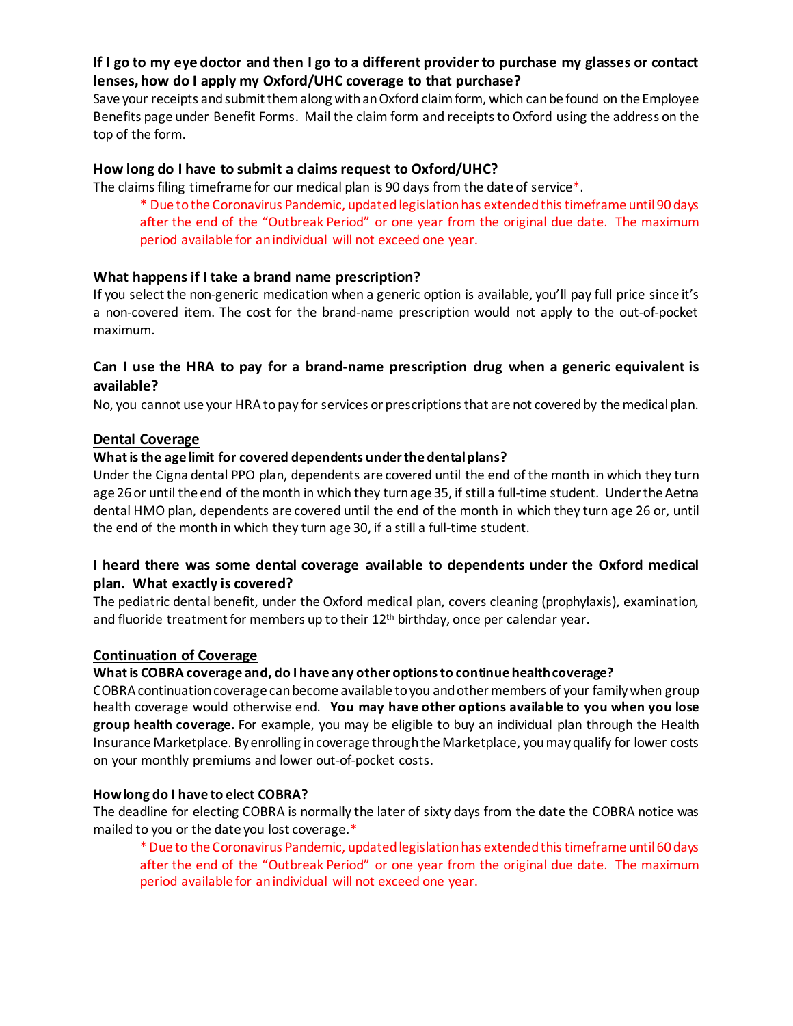### **If I go to my eye doctor and then I go to a different provider to purchase my glasses or contact lenses, how do I apply my Oxford/UHC coverage to that purchase?**

Save your receipts and submit them along with an Oxford claim form, which can be found on the Employee Benefits page under Benefit Forms. Mail the claim form and receipts to Oxford using the address on the top of the form.

#### **How long do I have to submit a claims request to Oxford/UHC?**

The claims filing timeframe for our medical plan is 90 days from the date of service\*.

\* Due to the Coronavirus Pandemic, updated legislation has extended this timeframe until 90 days after the end of the "Outbreak Period" or one year from the original due date. The maximum period available for an individual will not exceed one year.

#### **What happens if I take a brand name prescription?**

If you select the non-generic medication when a generic option is available, you'll pay full price since it's a non-covered item. The cost for the brand-name prescription would not apply to the out-of-pocket maximum.

### **Can I use the HRA to pay for a brand-name prescription drug when a generic equivalent is available?**

No, you cannot use your HRA to pay for services or prescriptions that are not covered by the medical plan.

#### **Dental Coverage**

#### **What is the age limit for covered dependents under the dental plans?**

Under the Cigna dental PPO plan, dependents are covered until the end of the month in which they turn age 26 or until the end of the month in which they turn age 35, if still a full-time student. Under the Aetna dental HMO plan, dependents are covered until the end of the month in which they turn age 26 or, until the end of the month in which they turn age 30, if a still a full-time student.

### **I heard there was some dental coverage available to dependents under the Oxford medical plan. What exactly is covered?**

The pediatric dental benefit, under the Oxford medical plan, covers cleaning (prophylaxis), examination, and fluoride treatment for members up to their  $12<sup>th</sup>$  birthday, once per calendar year.

#### **Continuation of Coverage**

#### **What is COBRA coverage and, do I have any other options to continue health coverage?**

COBRA continuation coverage can become available to you and other members of your family when group health coverage would otherwise end. **You may have other options available to you when you lose group health coverage.** For example, you may be eligible to buy an individual plan through the Health Insurance Marketplace. By enrolling in coverage through the Marketplace, you may qualify for lower costs on your monthly premiums and lower out-of-pocket costs.

#### **How long do I have to elect COBRA?**

The deadline for electing COBRA is normally the later of sixty days from the date the COBRA notice was mailed to you or the date you lost coverage.\*

\* Due to the Coronavirus Pandemic, updated legislation has extended this timeframe until 60 days after the end of the "Outbreak Period" or one year from the original due date. The maximum period available for an individual will not exceed one year.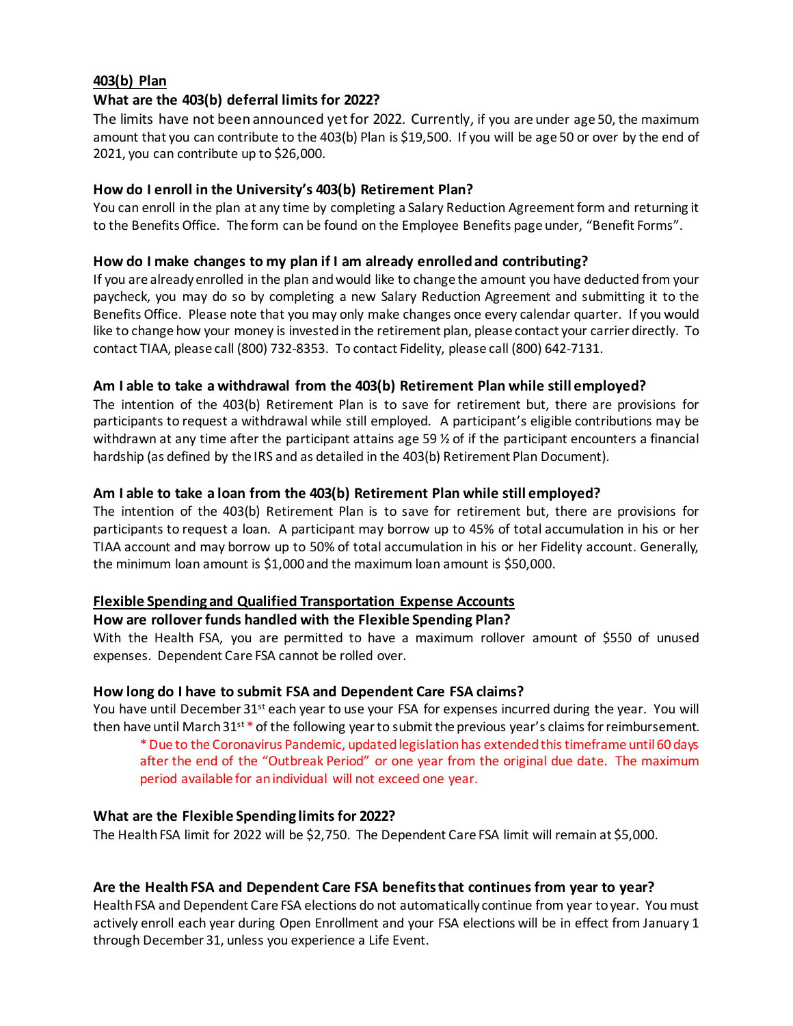### **403(b) Plan**

### **What are the 403(b) deferral limits for 2022?**

The limits have not been announced yet for 2022. Currently, if you are under age 50, the maximum amount that you can contribute to the 403(b) Plan is \$19,500. If you will be age 50 or over by the end of 2021, you can contribute up to \$26,000.

#### **How do I enroll in the University's 403(b) Retirement Plan?**

You can enroll in the plan at any time by completing a Salary Reduction Agreement form and returning it to the Benefits Office. The form can be found on the Employee Benefits page under, "Benefit Forms".

### **How do I make changes to my plan if I am already enrolledand contributing?**

If you are already enrolled in the plan and would like to change the amount you have deducted from your paycheck, you may do so by completing a new Salary Reduction Agreement and submitting it to the Benefits Office. Please note that you may only make changes once every calendar quarter. If you would like to change how your money is invested in the retirement plan, please contact your carrier directly. To contact TIAA, please call (800) 732-8353. To contact Fidelity, please call (800) 642-7131.

#### **Am I able to take a withdrawal from the 403(b) Retirement Plan while still employed?**

The intention of the 403(b) Retirement Plan is to save for retirement but, there are provisions for participants to request a withdrawal while still employed. A participant's eligible contributions may be withdrawn at any time after the participant attains age 59 % of if the participant encounters a financial hardship (as defined by the IRS and as detailed in the 403(b) Retirement Plan Document).

#### **Am I able to take a loan from the 403(b) Retirement Plan while still employed?**

The intention of the 403(b) Retirement Plan is to save for retirement but, there are provisions for participants to request a loan. A participant may borrow up to 45% of total accumulation in his or her TIAA account and may borrow up to 50% of total accumulation in his or her Fidelity account. Generally, the minimum loan amount is \$1,000 and the maximum loan amount is \$50,000.

### **Flexible Spending and Qualified Transportation Expense Accounts**

#### **How are rollover funds handled with the Flexible Spending Plan?**

With the Health FSA, you are permitted to have a maximum rollover amount of \$550 of unused expenses. Dependent Care FSA cannot be rolled over.

#### **How long do I have to submit FSA and Dependent Care FSA claims?**

You have until December 31<sup>st</sup> each year to use your FSA for expenses incurred during the year. You will then have until March  $31^{st}$  \* of the following year to submit the previous year's claims for reimbursement.

\* Due to the Coronavirus Pandemic, updated legislation has extended this timeframe until 60 days after the end of the "Outbreak Period" or one year from the original due date. The maximum period available for an individual will not exceed one year.

#### **What are the Flexible Spending limits for 2022?**

The Health FSA limit for 2022 will be \$2,750. The Dependent Care FSA limit will remain at \$5,000.

### **Are the Health FSA and Dependent Care FSA benefitsthat continues from year to year?**

Health FSA and Dependent Care FSA elections do not automatically continue from year to year. You must actively enroll each year during Open Enrollment and your FSA elections will be in effect from January 1 through December 31, unless you experience a Life Event.